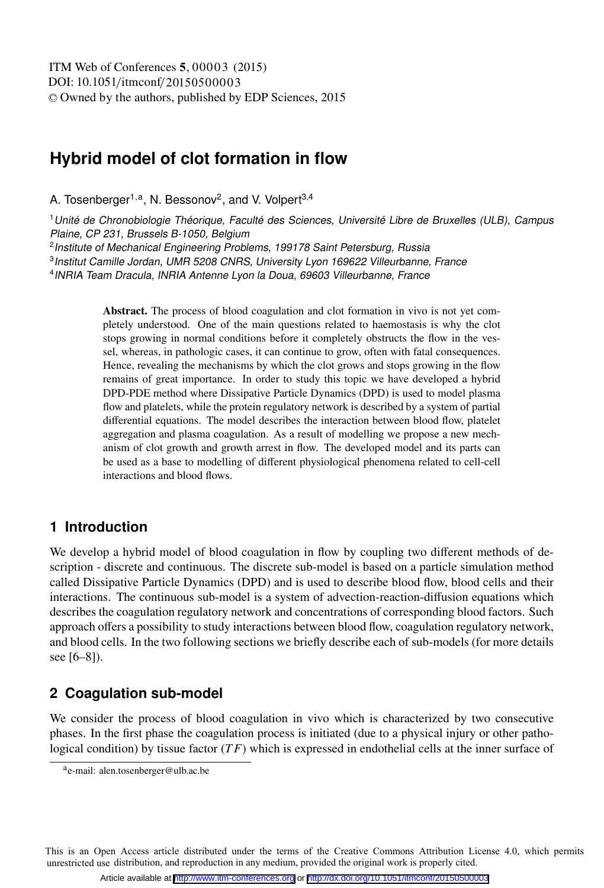# **Hybrid model of clot formation in flow**

A. Tosenberger<sup>1,a</sup>, N. Bessonov<sup>2</sup>, and V. Volpert<sup>3,4</sup>

<sup>1</sup>Unité de Chronobiologie Théorique, Faculté des Sciences, Université Libre de Bruxelles (ULB), Campus Plaine, CP 231, Brussels B-1050, Belgium

<sup>2</sup> Institute of Mechanical Engineering Problems, 199178 Saint Petersburg, Russia

<sup>3</sup>Institut Camille Jordan, UMR 5208 CNRS, University Lyon 169622 Villeurbanne, France

<sup>4</sup>INRIA Team Dracula, INRIA Antenne Lyon la Doua, 69603 Villeurbanne, France

Abstract. The process of blood coagulation and clot formation in vivo is not yet completely understood. One of the main questions related to haemostasis is why the clot stops growing in normal conditions before it completely obstructs the flow in the vessel, whereas, in pathologic cases, it can continue to grow, often with fatal consequences. Hence, revealing the mechanisms by which the clot grows and stops growing in the flow remains of great importance. In order to study this topic we have developed a hybrid DPD-PDE method where Dissipative Particle Dynamics (DPD) is used to model plasma flow and platelets, while the protein regulatory network is described by a system of partial differential equations. The model describes the interaction between blood flow, platelet aggregation and plasma coagulation. As a result of modelling we propose a new mechanism of clot growth and growth arrest in flow. The developed model and its parts can be used as a base to modelling of different physiological phenomena related to cell-cell interactions and blood flows.

## **1 Introduction**

We develop a hybrid model of blood coagulation in flow by coupling two different methods of description - discrete and continuous. The discrete sub-model is based on a particle simulation method called Dissipative Particle Dynamics (DPD) and is used to describe blood flow, blood cells and their interactions. The continuous sub-model is a system of advection-reaction-diffusion equations which describes the coagulation regulatory network and concentrations of corresponding blood factors. Such approach offers a possibility to study interactions between blood flow, coagulation regulatory network, and blood cells. In the two following sections we briefly describe each of sub-models (for more details see [6–8]).

## **2 Coagulation sub-model**

We consider the process of blood coagulation in vivo which is characterized by two consecutive phases. In the first phase the coagulation process is initiated (due to a physical injury or other pathological condition) by tissue factor (*T F*) which is expressed in endothelial cells at the inner surface of

This is an Open Access article distributed under the terms of the Creative Commons Attribution License 4.0, which permits unrestricted use distribution, and reproduction in any medium, provided the original work is properly cited.

ae-mail: alen.tosenberger@ulb.ac.be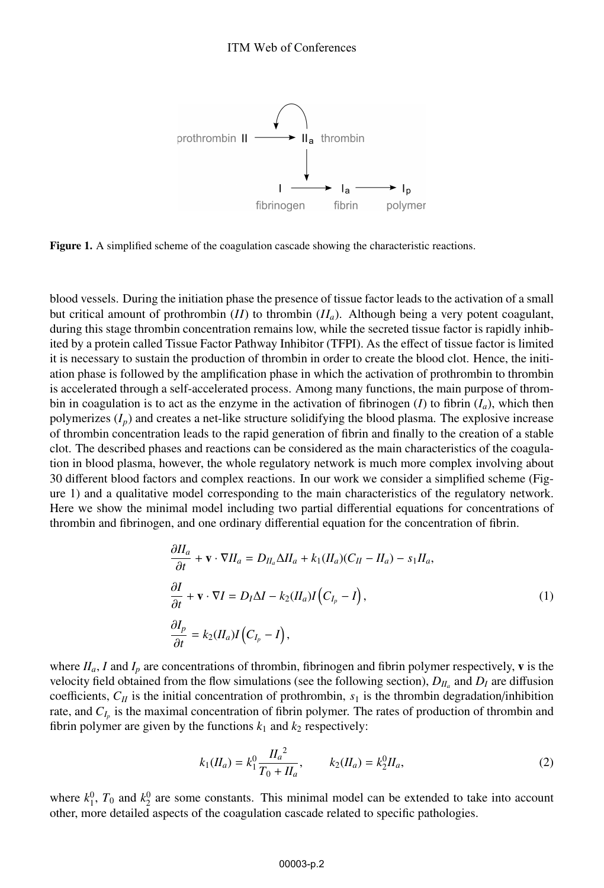

Figure 1. A simplified scheme of the coagulation cascade showing the characteristic reactions.

blood vessels. During the initiation phase the presence of tissue factor leads to the activation of a small but critical amount of prothrombin  $(II)$  to thrombin  $(II<sub>a</sub>)$ . Although being a very potent coagulant, during this stage thrombin concentration remains low, while the secreted tissue factor is rapidly inhibited by a protein called Tissue Factor Pathway Inhibitor (TFPI). As the effect of tissue factor is limited it is necessary to sustain the production of thrombin in order to create the blood clot. Hence, the initiation phase is followed by the amplification phase in which the activation of prothrombin to thrombin is accelerated through a self-accelerated process. Among many functions, the main purpose of thrombin in coagulation is to act as the enzyme in the activation of fibrinogen (*I*) to fibrin  $(I_a)$ , which then polymerizes  $(I_p)$  and creates a net-like structure solidifying the blood plasma. The explosive increase of thrombin concentration leads to the rapid generation of fibrin and finally to the creation of a stable clot. The described phases and reactions can be considered as the main characteristics of the coagulation in blood plasma, however, the whole regulatory network is much more complex involving about 30 different blood factors and complex reactions. In our work we consider a simplified scheme (Figure 1) and a qualitative model corresponding to the main characteristics of the regulatory network. Here we show the minimal model including two partial differential equations for concentrations of thrombin and fibrinogen, and one ordinary differential equation for the concentration of fibrin.

$$
\frac{\partial I_I}{\partial t} + \mathbf{v} \cdot \nabla H_a = D_{II_a} \Delta H_a + k_1 (H_a)(C_{II} - H_a) - s_1 H_a,
$$
\n
$$
\frac{\partial I}{\partial t} + \mathbf{v} \cdot \nabla I = D_I \Delta I - k_2 (H_a) I (C_{I_p} - I),
$$
\n
$$
\frac{\partial I_p}{\partial t} = k_2 (H_a) I (C_{I_p} - I),
$$
\n(1)

where  $II_a$ , *I* and  $I_p$  are concentrations of thrombin, fibrinogen and fibrin polymer respectively, **v** is the velocity field obtained from the flow simulations (see the following section),  $D_{II_a}$  and  $D_I$  are diffusion coefficients,  $C_{II}$  is the initial concentration of prothrombin,  $s_1$  is the thrombin degradation/inhibition rate, and *C<sub>Ip</sub>* is the maximal concentration of fibrin polymer. The rates of production of thrombin and fibrin polymer are given by the functions  $k_1$  and  $k_2$  respectively:

$$
k_1(H_a) = k_1^0 \frac{H_a^2}{T_0 + H_a}, \qquad k_2(H_a) = k_2^0 H_a,\tag{2}
$$

where  $k_1^0$ ,  $T_0$  and  $k_2^0$  are some constants. This minimal model can be extended to take into account other, more detailed aspects of the coagulation cascade related to specific pathologies.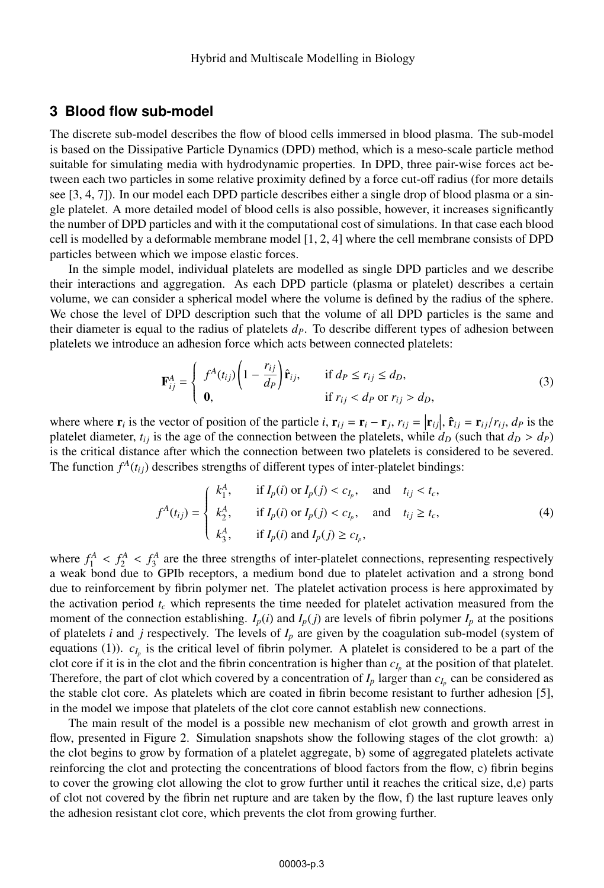#### **3 Blood flow sub-model**

The discrete sub-model describes the flow of blood cells immersed in blood plasma. The sub-model is based on the Dissipative Particle Dynamics (DPD) method, which is a meso-scale particle method suitable for simulating media with hydrodynamic properties. In DPD, three pair-wise forces act between each two particles in some relative proximity defined by a force cut-off radius (for more details see [3, 4, 7]). In our model each DPD particle describes either a single drop of blood plasma or a single platelet. A more detailed model of blood cells is also possible, however, it increases significantly the number of DPD particles and with it the computational cost of simulations. In that case each blood cell is modelled by a deformable membrane model [1, 2, 4] where the cell membrane consists of DPD particles between which we impose elastic forces.

In the simple model, individual platelets are modelled as single DPD particles and we describe their interactions and aggregation. As each DPD particle (plasma or platelet) describes a certain volume, we can consider a spherical model where the volume is defined by the radius of the sphere. We chose the level of DPD description such that the volume of all DPD particles is the same and their diameter is equal to the radius of platelets  $d<sub>P</sub>$ . To describe different types of adhesion between platelets we introduce an adhesion force which acts between connected platelets:

$$
\mathbf{F}_{ij}^A = \begin{cases} f^A(t_{ij}) \left( 1 - \frac{r_{ij}}{d_P} \right) \hat{\mathbf{r}}_{ij}, & \text{if } d_P \le r_{ij} \le d_D, \\ \mathbf{0}, & \text{if } r_{ij} < d_P \text{ or } r_{ij} > d_D, \end{cases}
$$
(3)

where where  $\mathbf{r}_i$  is the vector of position of the particle *i*,  $\mathbf{r}_{ij} = \mathbf{r}_i - \mathbf{r}_j$ ,  $r_{ij} = |\mathbf{r}_{ij}|$ ,  $\hat{\mathbf{r}}_{ij} = \mathbf{r}_{ij}/r_{ij}$ ,  $d_p$  is the platelet diameter *t<sub>i</sub>* is the age of the connection between the p platelet diameter,  $t_{ij}$  is the age of the connection between the platelets, while  $d_D$  (such that  $d_D > d_P$ ) is the critical distance after which the connection between two platelets is considered to be severed. The function  $f^A(t_{ij})$  describes strengths of different types of inter-platelet bindings:

$$
f^{A}(t_{ij}) = \begin{cases} k_{1}^{A}, & \text{if } I_{p}(i) \text{ or } I_{p}(j) < c_{I_{p}}, \text{ and } t_{ij} < t_{c}, \\ k_{2}^{A}, & \text{if } I_{p}(i) \text{ or } I_{p}(j) < c_{I_{p}}, \text{ and } t_{ij} \geq t_{c}, \\ k_{3}^{A}, & \text{if } I_{p}(i) \text{ and } I_{p}(j) \geq c_{I_{p}}, \end{cases}
$$
\n
$$
(4)
$$

where  $f_1^A < f_2^A < f_3^A$  are the three strengths of inter-platelet connections, representing respectively a weak bond due to GPIb receptors, a medium bond due to platelet activation and a strong bond due to reinforcement by fibrin polymer net. The platelet activation process is here approximated by the activation period  $t_c$  which represents the time needed for platelet activation measured from the moment of the connection establishing.  $I_p(i)$  and  $I_p(j)$  are levels of fibrin polymer  $I_p$  at the positions of platelets *i* and *j* respectively. The levels of  $I_p$  are given by the coagulation sub-model (system of equations (1)).  $c_{I_p}$  is the critical level of fibrin polymer. A platelet is considered to be a part of the clot core if it is in the clot and the fibrin concentration is higher than *cIp* at the position of that platelet. Therefore, the part of clot which covered by a concentration of  $I_p$  larger than  $c_l$  can be considered as the stable clot core. As platelets which are coated in fibrin become resistant to further adhesion [5], in the model we impose that platelets of the clot core cannot establish new connections.

The main result of the model is a possible new mechanism of clot growth and growth arrest in flow, presented in Figure 2. Simulation snapshots show the following stages of the clot growth: a) the clot begins to grow by formation of a platelet aggregate, b) some of aggregated platelets activate reinforcing the clot and protecting the concentrations of blood factors from the flow, c) fibrin begins to cover the growing clot allowing the clot to grow further until it reaches the critical size, d,e) parts of clot not covered by the fibrin net rupture and are taken by the flow, f) the last rupture leaves only the adhesion resistant clot core, which prevents the clot from growing further.